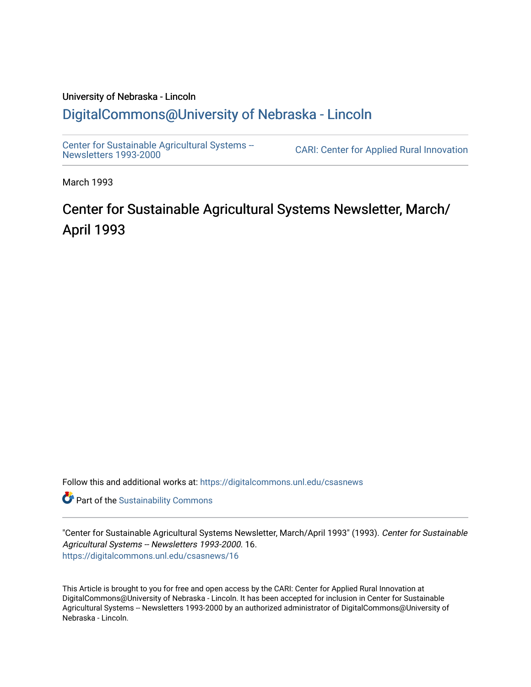# University of Nebraska - Lincoln [DigitalCommons@University of Nebraska - Lincoln](https://digitalcommons.unl.edu/)

[Center for Sustainable Agricultural Systems --](https://digitalcommons.unl.edu/csasnews)<br>Newsletters 1993-2000

CARI: Center for Applied Rural Innovation

March 1993

# Center for Sustainable Agricultural Systems Newsletter, March/ April 1993

Follow this and additional works at: [https://digitalcommons.unl.edu/csasnews](https://digitalcommons.unl.edu/csasnews?utm_source=digitalcommons.unl.edu%2Fcsasnews%2F16&utm_medium=PDF&utm_campaign=PDFCoverPages) 

**Part of the [Sustainability Commons](http://network.bepress.com/hgg/discipline/1031?utm_source=digitalcommons.unl.edu%2Fcsasnews%2F16&utm_medium=PDF&utm_campaign=PDFCoverPages)** 

"Center for Sustainable Agricultural Systems Newsletter, March/April 1993" (1993). Center for Sustainable Agricultural Systems -- Newsletters 1993-2000. 16. [https://digitalcommons.unl.edu/csasnews/16](https://digitalcommons.unl.edu/csasnews/16?utm_source=digitalcommons.unl.edu%2Fcsasnews%2F16&utm_medium=PDF&utm_campaign=PDFCoverPages) 

This Article is brought to you for free and open access by the CARI: Center for Applied Rural Innovation at DigitalCommons@University of Nebraska - Lincoln. It has been accepted for inclusion in Center for Sustainable Agricultural Systems -- Newsletters 1993-2000 by an authorized administrator of DigitalCommons@University of Nebraska - Lincoln.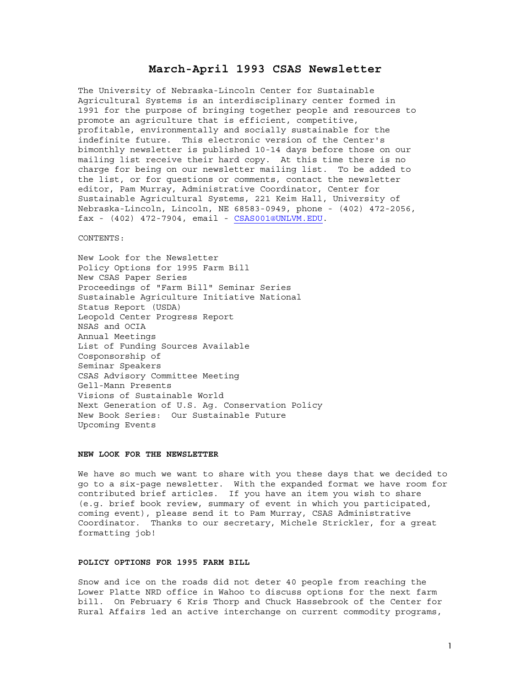# **March-April 1993 CSAS Newsletter**

The University of Nebraska-Lincoln Center for Sustainable Agricultural Systems is an interdisciplinary center formed in 1991 for the purpose of bringing together people and resources to promote an agriculture that is efficient, competitive, profitable, environmentally and socially sustainable for the indefinite future. This electronic version of the Center's bimonthly newsletter is published 10-14 days before those on our mailing list receive their hard copy. At this time there is no charge for being on our newsletter mailing list. To be added to the list, or for questions or comments, contact the newsletter editor, Pam Murray, Administrative Coordinator, Center for Sustainable Agricultural Systems, 221 Keim Hall, University of Nebraska-Lincoln, Lincoln, NE 68583-0949, phone - (402) 472-2056, fax - (402) 472-7904, email - CSAS001@UNLVM.EDU.

CONTENTS:

New Look for the Newsletter Policy Options for 1995 Farm Bill New CSAS Paper Series Proceedings of "Farm Bill" Seminar Series Sustainable Agriculture Initiative National Status Report (USDA) Leopold Center Progress Report NSAS and OCIA Annual Meetings List of Funding Sources Available Cosponsorship of Seminar Speakers CSAS Advisory Committee Meeting Gell-Mann Presents Visions of Sustainable World Next Generation of U.S. Ag. Conservation Policy New Book Series: Our Sustainable Future Upcoming Events

# **NEW LOOK FOR THE NEWSLETTER**

We have so much we want to share with you these days that we decided to go to a six-page newsletter. With the expanded format we have room for contributed brief articles. If you have an item you wish to share (e.g. brief book review, summary of event in which you participated, coming event), please send it to Pam Murray, CSAS Administrative Coordinator. Thanks to our secretary, Michele Strickler, for a great formatting job!

#### **POLICY OPTIONS FOR 1995 FARM BILL**

Snow and ice on the roads did not deter 40 people from reaching the Lower Platte NRD office in Wahoo to discuss options for the next farm bill. On February 6 Kris Thorp and Chuck Hassebrook of the Center for Rural Affairs led an active interchange on current commodity programs,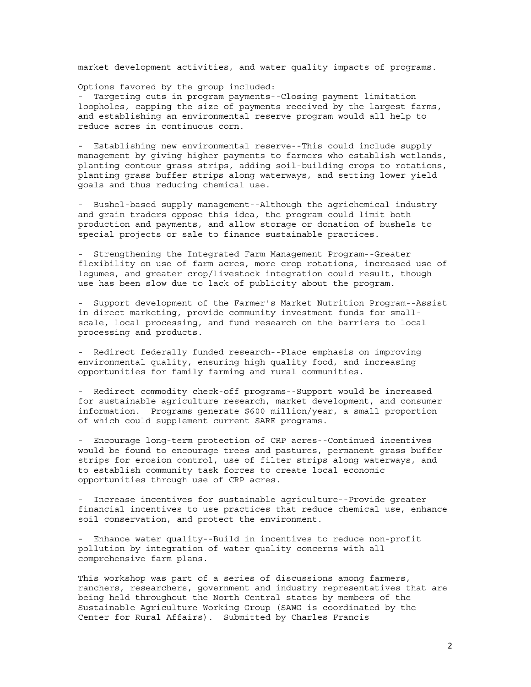market development activities, and water quality impacts of programs.

Options favored by the group included:

- Targeting cuts in program payments--Closing payment limitation loopholes, capping the size of payments received by the largest farms, and establishing an environmental reserve program would all help to reduce acres in continuous corn.

- Establishing new environmental reserve--This could include supply management by giving higher payments to farmers who establish wetlands, planting contour grass strips, adding soil-building crops to rotations, planting grass buffer strips along waterways, and setting lower yield goals and thus reducing chemical use.

- Bushel-based supply management--Although the agrichemical industry and grain traders oppose this idea, the program could limit both production and payments, and allow storage or donation of bushels to special projects or sale to finance sustainable practices.

- Strengthening the Integrated Farm Management Program--Greater flexibility on use of farm acres, more crop rotations, increased use of legumes, and greater crop/livestock integration could result, though use has been slow due to lack of publicity about the program.

- Support development of the Farmer's Market Nutrition Program--Assist in direct marketing, provide community investment funds for smallscale, local processing, and fund research on the barriers to local processing and products.

- Redirect federally funded research--Place emphasis on improving environmental quality, ensuring high quality food, and increasing opportunities for family farming and rural communities.

- Redirect commodity check-off programs--Support would be increased for sustainable agriculture research, market development, and consumer information. Programs generate \$600 million/year, a small proportion of which could supplement current SARE programs.

- Encourage long-term protection of CRP acres--Continued incentives would be found to encourage trees and pastures, permanent grass buffer strips for erosion control, use of filter strips along waterways, and to establish community task forces to create local economic opportunities through use of CRP acres.

- Increase incentives for sustainable agriculture--Provide greater financial incentives to use practices that reduce chemical use, enhance soil conservation, and protect the environment.

- Enhance water quality--Build in incentives to reduce non-profit pollution by integration of water quality concerns with all comprehensive farm plans.

This workshop was part of a series of discussions among farmers, ranchers, researchers, government and industry representatives that are being held throughout the North Central states by members of the Sustainable Agriculture Working Group (SAWG is coordinated by the Center for Rural Affairs). Submitted by Charles Francis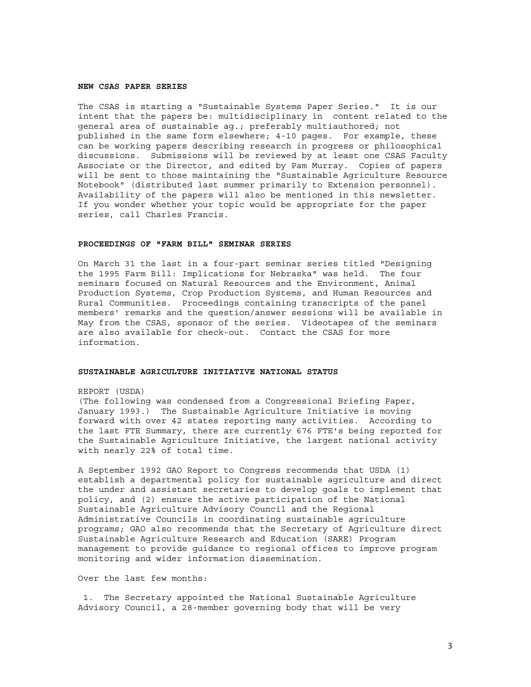# **NEW CSAS PAPER SERIES**

The CSAS is starting a "Sustainable Systems Paper Series." It is our intent that the papers be: multidisciplinary in content related to the general area of sustainable ag.; preferably multiauthored; not published in the same form elsewhere; 4-10 pages. For example, these can be working papers describing research in progress or philosophical discussions. Submissions will be reviewed by at least one CSAS Faculty Associate or the Director, and edited by Pam Murray. Copies of papers will be sent to those maintaining the "Sustainable Agriculture Resource Notebook" (distributed last summer primarily to Extension personnel). Availability of the papers will also be mentioned in this newsletter. If you wonder whether your topic would be appropriate for the paper series, call Charles Francis.

## **PROCEEDINGS OF "FARM BILL" SEMINAR SERIES**

On March 31 the last in a four-part seminar series titled "Designing the 1995 Farm Bill: Implications for Nebraska" was held. The four seminars focused on Natural Resources and the Environment, Animal Production Systems, Crop Production Systems, and Human Resources and Rural Communities. Proceedings containing transcripts of the panel members' remarks and the question/answer sessions will be available in May from the CSAS, sponsor of the series. Videotapes of the seminars are also available for check-out. Contact the CSAS for more information.

#### **SUSTAINABLE AGRICULTURE INITIATIVE NATIONAL STATUS**

#### REPORT (USDA)

(The following was condensed from a Congressional Briefing Paper, January 1993.) The Sustainable Agriculture Initiative is moving forward with over 42 states reporting many activities. According to the last FTE Summary, there are currently 676 FTE's being reported for the Sustainable Agriculture Initiative, the largest national activity with nearly 22% of total time.

A September 1992 GAO Report to Congress recommends that USDA (1) establish a departmental policy for sustainable agriculture and direct the under and assistant secretaries to develop goals to implement that policy, and (2) ensure the active participation of the National Sustainable Agriculture Advisory Council and the Regional Administrative Councils in coordinating sustainable agriculture programs; GAO also recommends that the Secretary of Agriculture direct Sustainable Agriculture Research and Education (SARE) Program management to provide guidance to regional offices to improve program monitoring and wider information dissemination.

Over the last few months:

 1. The Secretary appointed the National Sustainable Agriculture Advisory Council, a 28-member governing body that will be very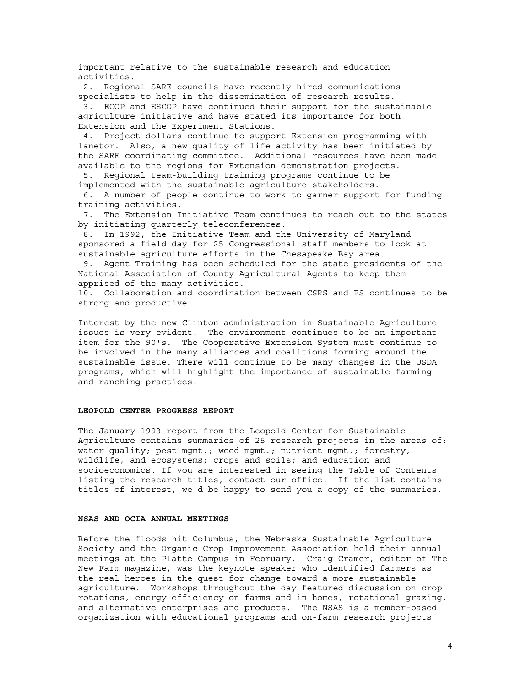important relative to the sustainable research and education activities.

 2. Regional SARE councils have recently hired communications specialists to help in the dissemination of research results. 3. ECOP and ESCOP have continued their support for the sustainable agriculture initiative and have stated its importance for both Extension and the Experiment Stations.

 4. Project dollars continue to support Extension programming with lanetor. Also, a new quality of life activity has been initiated by the SARE coordinating committee. Additional resources have been made available to the regions for Extension demonstration projects.

 5. Regional team-building training programs continue to be implemented with the sustainable agriculture stakeholders.

 6. A number of people continue to work to garner support for funding training activities.

 7. The Extension Initiative Team continues to reach out to the states by initiating quarterly teleconferences.

 8. In 1992, the Initiative Team and the University of Maryland sponsored a field day for 25 Congressional staff members to look at sustainable agriculture efforts in the Chesapeake Bay area.

 9. Agent Training has been scheduled for the state presidents of the National Association of County Agricultural Agents to keep them apprised of the many activities.

10. Collaboration and coordination between CSRS and ES continues to be strong and productive.

Interest by the new Clinton administration in Sustainable Agriculture issues is very evident. The environment continues to be an important item for the 90's. The Cooperative Extension System must continue to be involved in the many alliances and coalitions forming around the sustainable issue. There will continue to be many changes in the USDA programs, which will highlight the importance of sustainable farming and ranching practices.

# **LEOPOLD CENTER PROGRESS REPORT**

The January 1993 report from the Leopold Center for Sustainable Agriculture contains summaries of 25 research projects in the areas of: water quality; pest mgmt.; weed mgmt.; nutrient mgmt.; forestry, wildlife, and ecosystems; crops and soils; and education and socioeconomics. If you are interested in seeing the Table of Contents listing the research titles, contact our office. If the list contains titles of interest, we'd be happy to send you a copy of the summaries.

#### **NSAS AND OCIA ANNUAL MEETINGS**

Before the floods hit Columbus, the Nebraska Sustainable Agriculture Society and the Organic Crop Improvement Association held their annual meetings at the Platte Campus in February. Craig Cramer, editor of The New Farm magazine, was the keynote speaker who identified farmers as the real heroes in the quest for change toward a more sustainable agriculture. Workshops throughout the day featured discussion on crop rotations, energy efficiency on farms and in homes, rotational grazing, and alternative enterprises and products. The NSAS is a member-based organization with educational programs and on-farm research projects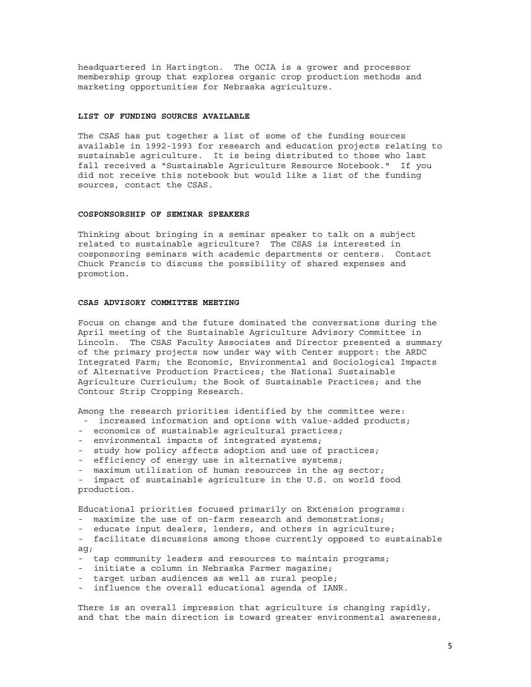headquartered in Hartington. The OCIA is a grower and processor membership group that explores organic crop production methods and marketing opportunities for Nebraska agriculture.

#### **LIST OF FUNDING SOURCES AVAILABLE**

The CSAS has put together a list of some of the funding sources available in 1992-1993 for research and education projects relating to sustainable agriculture. It is being distributed to those who last fall received a "Sustainable Agriculture Resource Notebook." If you did not receive this notebook but would like a list of the funding sources, contact the CSAS.

# **COSPONSORSHIP OF SEMINAR SPEAKERS**

Thinking about bringing in a seminar speaker to talk on a subject related to sustainable agriculture? The CSAS is interested in cosponsoring seminars with academic departments or centers. Contact Chuck Francis to discuss the possibility of shared expenses and promotion.

#### **CSAS ADVISORY COMMITTEE MEETING**

Focus on change and the future dominated the conversations during the April meeting of the Sustainable Agriculture Advisory Committee in Lincoln. The CSAS Faculty Associates and Director presented a summary of the primary projects now under way with Center support: the ARDC Integrated Farm; the Economic, Environmental and Sociological Impacts of Alternative Production Practices; the National Sustainable Agriculture Curriculum; the Book of Sustainable Practices; and the Contour Strip Cropping Research.

Among the research priorities identified by the committee were:

- increased information and options with value-added products;
- economics of sustainable agricultural practices;
- environmental impacts of integrated systems;
- study how policy affects adoption and use of practices;
- efficiency of energy use in alternative systems;
- maximum utilization of human resources in the ag sector;
- impact of sustainable agriculture in the U.S. on world food production.

Educational priorities focused primarily on Extension programs:

- maximize the use of on-farm research and demonstrations;
- educate input dealers, lenders, and others in agriculture;
- facilitate discussions among those currently opposed to sustainable ag;
- tap community leaders and resources to maintain programs;
- initiate a column in Nebraska Farmer magazine;
- target urban audiences as well as rural people;
- influence the overall educational agenda of IANR.

There is an overall impression that agriculture is changing rapidly, and that the main direction is toward greater environmental awareness,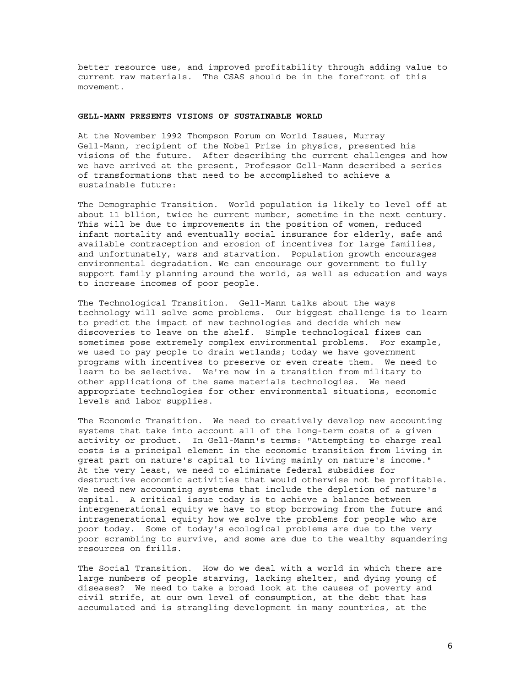better resource use, and improved profitability through adding value to current raw materials. The CSAS should be in the forefront of this movement.

#### **GELL-MANN PRESENTS VISIONS OF SUSTAINABLE WORLD**

At the November 1992 Thompson Forum on World Issues, Murray Gell-Mann, recipient of the Nobel Prize in physics, presented his visions of the future. After describing the current challenges and how we have arrived at the present, Professor Gell-Mann described a series of transformations that need to be accomplished to achieve a sustainable future:

The Demographic Transition. World population is likely to level off at about 11 bllion, twice he current number, sometime in the next century. This will be due to improvements in the position of women, reduced infant mortality and eventually social insurance for elderly, safe and available contraception and erosion of incentives for large families, and unfortunately, wars and starvation. Population growth encourages environmental degradation. We can encourage our government to fully support family planning around the world, as well as education and ways to increase incomes of poor people.

The Technological Transition. Gell-Mann talks about the ways technology will solve some problems. Our biggest challenge is to learn to predict the impact of new technologies and decide which new discoveries to leave on the shelf. Simple technological fixes can sometimes pose extremely complex environmental problems. For example, we used to pay people to drain wetlands; today we have government programs with incentives to preserve or even create them. We need to learn to be selective. We're now in a transition from military to other applications of the same materials technologies. We need appropriate technologies for other environmental situations, economic levels and labor supplies.

The Economic Transition. We need to creatively develop new accounting systems that take into account all of the long-term costs of a given activity or product. In Gell-Mann's terms: "Attempting to charge real costs is a principal element in the economic transition from living in great part on nature's capital to living mainly on nature's income." At the very least, we need to eliminate federal subsidies for destructive economic activities that would otherwise not be profitable. We need new accounting systems that include the depletion of nature's capital. A critical issue today is to achieve a balance between intergenerational equity we have to stop borrowing from the future and intragenerational equity how we solve the problems for people who are poor today. Some of today's ecological problems are due to the very poor scrambling to survive, and some are due to the wealthy squandering resources on frills.

The Social Transition. How do we deal with a world in which there are large numbers of people starving, lacking shelter, and dying young of diseases? We need to take a broad look at the causes of poverty and civil strife, at our own level of consumption, at the debt that has accumulated and is strangling development in many countries, at the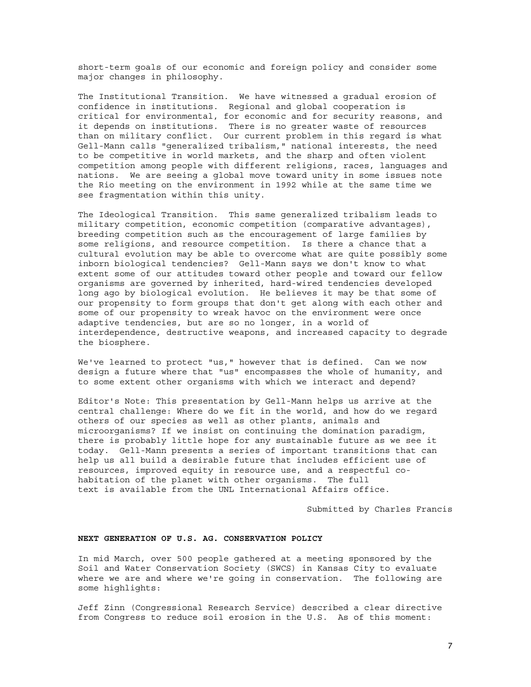short-term goals of our economic and foreign policy and consider some major changes in philosophy.

The Institutional Transition. We have witnessed a gradual erosion of confidence in institutions. Regional and global cooperation is critical for environmental, for economic and for security reasons, and it depends on institutions. There is no greater waste of resources than on military conflict. Our current problem in this regard is what Gell-Mann calls "generalized tribalism," national interests, the need to be competitive in world markets, and the sharp and often violent competition among people with different religions, races, languages and nations. We are seeing a global move toward unity in some issues note the Rio meeting on the environment in 1992 while at the same time we see fragmentation within this unity.

The Ideological Transition. This same generalized tribalism leads to military competition, economic competition (comparative advantages), breeding competition such as the encouragement of large families by some religions, and resource competition. Is there a chance that a cultural evolution may be able to overcome what are quite possibly some inborn biological tendencies? Gell-Mann says we don't know to what extent some of our attitudes toward other people and toward our fellow organisms are governed by inherited, hard-wired tendencies developed long ago by biological evolution. He believes it may be that some of our propensity to form groups that don't get along with each other and some of our propensity to wreak havoc on the environment were once adaptive tendencies, but are so no longer, in a world of interdependence, destructive weapons, and increased capacity to degrade the biosphere.

We've learned to protect "us," however that is defined. Can we now design a future where that "us" encompasses the whole of humanity, and to some extent other organisms with which we interact and depend?

Editor's Note: This presentation by Gell-Mann helps us arrive at the central challenge: Where do we fit in the world, and how do we regard others of our species as well as other plants, animals and microorganisms? If we insist on continuing the domination paradigm, there is probably little hope for any sustainable future as we see it today. Gell-Mann presents a series of important transitions that can help us all build a desirable future that includes efficient use of resources, improved equity in resource use, and a respectful cohabitation of the planet with other organisms. The full text is available from the UNL International Affairs office.

Submitted by Charles Francis

#### **NEXT GENERATION OF U.S. AG. CONSERVATION POLICY**

In mid March, over 500 people gathered at a meeting sponsored by the Soil and Water Conservation Society (SWCS) in Kansas City to evaluate where we are and where we're going in conservation. The following are some highlights:

Jeff Zinn (Congressional Research Service) described a clear directive from Congress to reduce soil erosion in the U.S. As of this moment: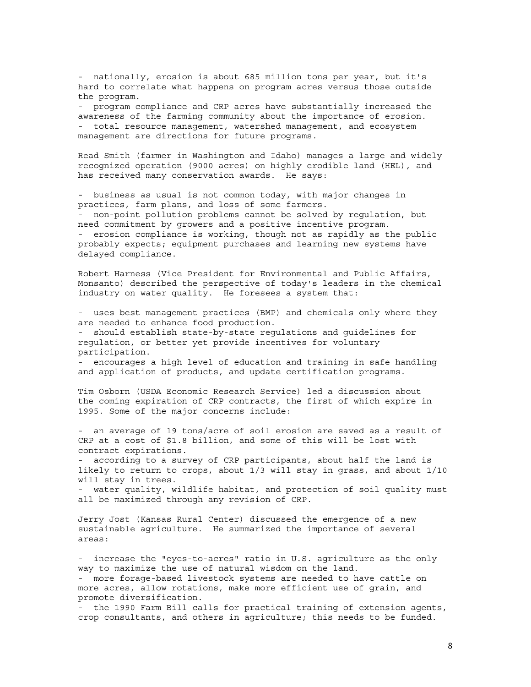- nationally, erosion is about 685 million tons per year, but it's hard to correlate what happens on program acres versus those outside the program.

- program compliance and CRP acres have substantially increased the awareness of the farming community about the importance of erosion. - total resource management, watershed management, and ecosystem management are directions for future programs.

Read Smith (farmer in Washington and Idaho) manages a large and widely recognized operation (9000 acres) on highly erodible land (HEL), and has received many conservation awards. He says:

- business as usual is not common today, with major changes in practices, farm plans, and loss of some farmers. - non-point pollution problems cannot be solved by regulation, but need commitment by growers and a positive incentive program. - erosion compliance is working, though not as rapidly as the public probably expects; equipment purchases and learning new systems have delayed compliance.

Robert Harness (Vice President for Environmental and Public Affairs, Monsanto) described the perspective of today's leaders in the chemical industry on water quality. He foresees a system that:

- uses best management practices (BMP) and chemicals only where they are needed to enhance food production.

- should establish state-by-state regulations and guidelines for regulation, or better yet provide incentives for voluntary participation.

- encourages a high level of education and training in safe handling and application of products, and update certification programs.

Tim Osborn (USDA Economic Research Service) led a discussion about the coming expiration of CRP contracts, the first of which expire in 1995. Some of the major concerns include:

- an average of 19 tons/acre of soil erosion are saved as a result of CRP at a cost of \$1.8 billion, and some of this will be lost with contract expirations.

- according to a survey of CRP participants, about half the land is likely to return to crops, about 1/3 will stay in grass, and about 1/10 will stay in trees.

- water quality, wildlife habitat, and protection of soil quality must all be maximized through any revision of CRP.

Jerry Jost (Kansas Rural Center) discussed the emergence of a new sustainable agriculture. He summarized the importance of several areas:

- increase the "eyes-to-acres" ratio in U.S. agriculture as the only way to maximize the use of natural wisdom on the land. - more forage-based livestock systems are needed to have cattle on more acres, allow rotations, make more efficient use of grain, and promote diversification.

- the 1990 Farm Bill calls for practical training of extension agents, crop consultants, and others in agriculture; this needs to be funded.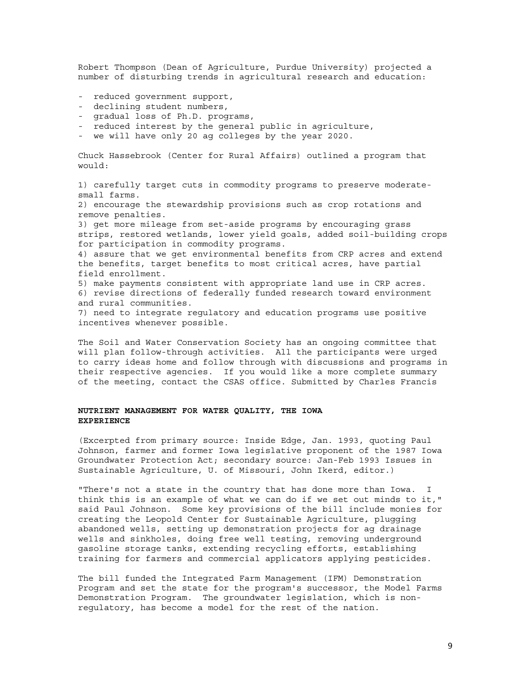Robert Thompson (Dean of Agriculture, Purdue University) projected a number of disturbing trends in agricultural research and education:

- reduced government support,
- declining student numbers,
- gradual loss of Ph.D. programs,
- reduced interest by the general public in agriculture,
- we will have only 20 ag colleges by the year 2020.

Chuck Hassebrook (Center for Rural Affairs) outlined a program that would:

1) carefully target cuts in commodity programs to preserve moderatesmall farms.

2) encourage the stewardship provisions such as crop rotations and remove penalties.

3) get more mileage from set-aside programs by encouraging grass strips, restored wetlands, lower yield goals, added soil-building crops for participation in commodity programs.

4) assure that we get environmental benefits from CRP acres and extend the benefits, target benefits to most critical acres, have partial field enrollment.

5) make payments consistent with appropriate land use in CRP acres. 6) revise directions of federally funded research toward environment and rural communities.

7) need to integrate regulatory and education programs use positive incentives whenever possible.

The Soil and Water Conservation Society has an ongoing committee that will plan follow-through activities. All the participants were urged to carry ideas home and follow through with discussions and programs in their respective agencies. If you would like a more complete summary of the meeting, contact the CSAS office. Submitted by Charles Francis

# **NUTRIENT MANAGEMENT FOR WATER QUALITY, THE IOWA EXPERIENCE**

(Excerpted from primary source: Inside Edge, Jan. 1993, quoting Paul Johnson, farmer and former Iowa legislative proponent of the 1987 Iowa Groundwater Protection Act; secondary source: Jan-Feb 1993 Issues in Sustainable Agriculture, U. of Missouri, John Ikerd, editor.)

"There's not a state in the country that has done more than Iowa. I think this is an example of what we can do if we set out minds to it," said Paul Johnson. Some key provisions of the bill include monies for creating the Leopold Center for Sustainable Agriculture, plugging abandoned wells, setting up demonstration projects for ag drainage wells and sinkholes, doing free well testing, removing underground gasoline storage tanks, extending recycling efforts, establishing training for farmers and commercial applicators applying pesticides.

The bill funded the Integrated Farm Management (IFM) Demonstration Program and set the state for the program's successor, the Model Farms Demonstration Program. The groundwater legislation, which is nonregulatory, has become a model for the rest of the nation.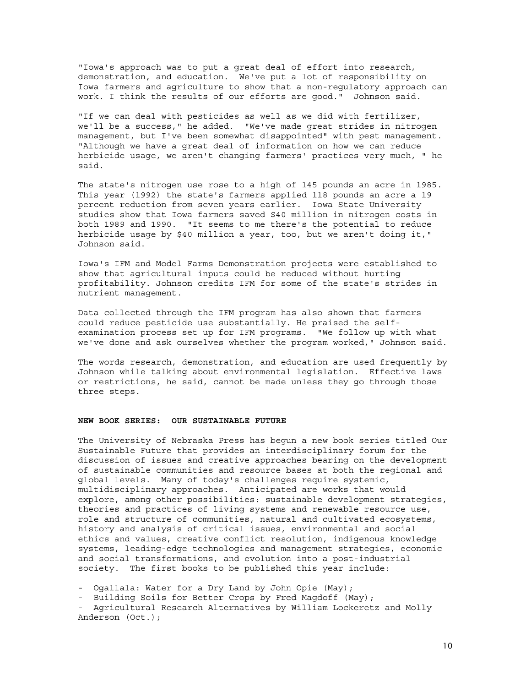"Iowa's approach was to put a great deal of effort into research, demonstration, and education. We've put a lot of responsibility on Iowa farmers and agriculture to show that a non-regulatory approach can work. I think the results of our efforts are good." Johnson said.

"If we can deal with pesticides as well as we did with fertilizer, we'll be a success," he added. "We've made great strides in nitrogen management, but I've been somewhat disappointed" with pest management. "Although we have a great deal of information on how we can reduce herbicide usage, we aren't changing farmers' practices very much, " he said.

The state's nitrogen use rose to a high of 145 pounds an acre in 1985. This year (1992) the state's farmers applied 118 pounds an acre a 19 percent reduction from seven years earlier. Iowa State University studies show that Iowa farmers saved \$40 million in nitrogen costs in both 1989 and 1990. "It seems to me there's the potential to reduce herbicide usage by \$40 million a year, too, but we aren't doing it," Johnson said.

Iowa's IFM and Model Farms Demonstration projects were established to show that agricultural inputs could be reduced without hurting profitability. Johnson credits IFM for some of the state's strides in nutrient management.

Data collected through the IFM program has also shown that farmers could reduce pesticide use substantially. He praised the selfexamination process set up for IFM programs. "We follow up with what we've done and ask ourselves whether the program worked," Johnson said.

The words research, demonstration, and education are used frequently by Johnson while talking about environmental legislation. Effective laws or restrictions, he said, cannot be made unless they go through those three steps.

# **NEW BOOK SERIES: OUR SUSTAINABLE FUTURE**

The University of Nebraska Press has begun a new book series titled Our Sustainable Future that provides an interdisciplinary forum for the discussion of issues and creative approaches bearing on the development of sustainable communities and resource bases at both the regional and global levels. Many of today's challenges require systemic, multidisciplinary approaches. Anticipated are works that would explore, among other possibilities: sustainable development strategies, theories and practices of living systems and renewable resource use, role and structure of communities, natural and cultivated ecosystems, history and analysis of critical issues, environmental and social ethics and values, creative conflict resolution, indigenous knowledge systems, leading-edge technologies and management strategies, economic and social transformations, and evolution into a post-industrial society. The first books to be published this year include:

- Ogallala: Water for a Dry Land by John Opie (May);

- Building Soils for Better Crops by Fred Magdoff (May);

- Agricultural Research Alternatives by William Lockeretz and Molly Anderson (Oct.);